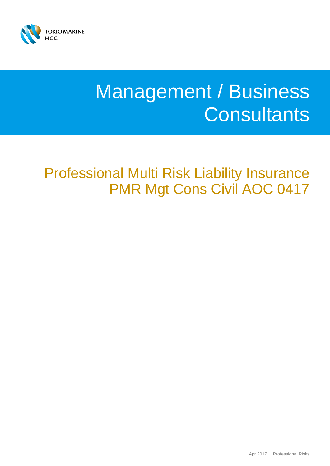

# Management / Business **Consultants**

Professional Multi Risk Liability Insurance PMR Mgt Cons Civil AOC 0417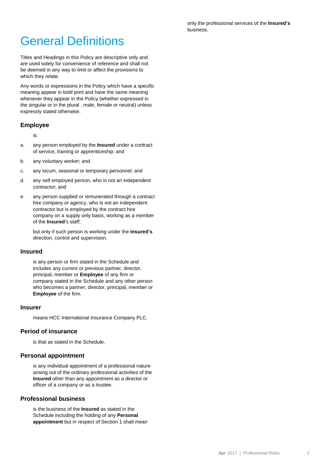only the professional services of the **Insured's** business.

## General Definitions

Titles and Headings in this Policy are descriptive only and are used solely for convenience of reference and shall not be deemed in any way to limit or affect the provisions to which they relate.

Any words or expressions in the Policy which have a specific meaning appear in bold print and have the same meaning whenever they appear in the Policy (whether expressed in the singular or in the plural , male, female or neutral) unless expressly stated otherwise.

#### **Employee**

is:

- a. any person employed by the **Insured** under a contract of service, training or apprenticeship; and
- b. any voluntary worker; and
- c. any locum, seasonal or temporary personnel; and
- d. any self employed person, who is not an independent contractor; and
- e. any person supplied or remunerated through a contract hire company or agency, who is not an independent contractor but is employed by the contract hire company on a supply only basis, working as a member of the **Insured**'s staff;

but only if such person is working under the **Insured's**  direction, control and supervision.

#### **Insured**

is any person or firm stated in the Schedule and includes any current or previous partner, director, principal, member or **Employee** of any firm or company stated in the Schedule and any other person who becomes a partner, director, principal, member or **Employee** of the firm.

#### **Insurer**

means HCC International Insurance Company PLC.

#### **Period of insurance**

is that as stated in the Schedule.

#### **Personal appointment**

is any individual appointment of a professional nature arising out of the ordinary professional activities of the **Insured** other than any appointment as a director or officer of a company or as a trustee.

#### **Professional business**

is the business of the **Insured** as stated in the Schedule including the holding of any **Personal appointment** but in respect of Section 1 shall mean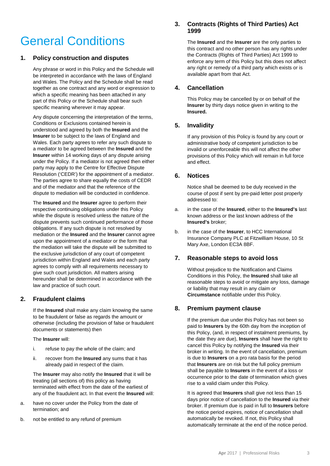## General Conditions

#### **1. Policy construction and disputes**

Any phrase or word in this Policy and the Schedule will be interpreted in accordance with the laws of England and Wales. The Policy and the Schedule shall be read together as one contract and any word or expression to which a specific meaning has been attached in any part of this Policy or the Schedule shall bear such specific meaning wherever it may appear.

Any dispute concerning the interpretation of the terms, Conditions or Exclusions contained herein is understood and agreed by both the **Insured** and the **Insurer** to be subject to the laws of England and Wales. Each party agrees to refer any such dispute to a mediator to be agreed between the **Insured** and the **Insurer** within 14 working days of any dispute arising under the Policy. If a mediator is not agreed then either party may apply to the Centre for Effective Dispute Resolution ('CEDR') for the appointment of a mediator. The parties agree to share equally the costs of CEDR and of the mediator and that the reference of the dispute to mediation will be conducted in confidence.

The **Insured** and the **Insurer** agree to perform their respective continuing obligations under this Policy while the dispute is resolved unless the nature of the dispute prevents such continued performance of those obligations. If any such dispute is not resolved by mediation or the **Insured** and the **Insurer** cannot agree upon the appointment of a mediator or the form that the mediation will take the dispute will be submitted to the exclusive jurisdiction of any court of competent jurisdiction within England and Wales and each party agrees to comply with all requirements necessary to give such court jurisdiction. All matters arising hereunder shall be determined in accordance with the law and practice of such court.

#### **2. Fraudulent claims**

If the **Insured** shall make any claim knowing the same to be fraudulent or false as regards the amount or otherwise (including the provision of false or fraudulent documents or statements) then

The **Insurer** will:

- i. refuse to pay the whole of the claim; and
- ii. recover from the **Insured** any sums that it has already paid in respect of the claim.

The **Insurer** may also notify the **Insured** that it will be treating (all sections of) this policy as having terminated with effect from the date of the earliest of any of the fraudulent act. In that event the **Insured** will:

- a. have no cover under the Policy from the date of termination; and
- b. not be entitled to any refund of premium

#### **3. Contracts (Rights of Third Parties) Act 1999**

The **Insured** and the **Insurer** are the only parties to this contract and no other person has any rights under the Contracts (Rights of Third Parties) Act 1999 to enforce any term of this Policy but this does not affect any right or remedy of a third party which exists or is available apart from that Act.

#### **4. Cancellation**

This Policy may be cancelled by or on behalf of the **Insurer** by thirty days notice given in writing to the **Insured.**

#### **5. Invalidity**

If any provision of this Policy is found by any court or administrative body of competent jurisdiction to be invalid or unenforceable this will not affect the other provisions of this Policy which will remain in full force and effect.

#### **6. Notices**

Notice shall be deemed to be duly received in the course of post if sent by pre-paid letter post properly addressed to:

- a. in the case of the **Insured**, either to the **Insured's** last known address or the last known address of the **Insured's** broker;
- b. in the case of the **Insurer**, to HCC International Insurance Company PLC at Fitzwilliam House, 10 St Mary Axe, London EC3A 8BF.

#### **7. Reasonable steps to avoid loss**

Without prejudice to the Notification and Claims Conditions in this Policy, the **Insured** shall take all reasonable steps to avoid or mitigate any loss, damage or liability that may result in any claim or **Circumstance** notifiable under this Policy.

#### **8. Premium payment clause**

If the premium due under this Policy has not been so paid to **Insurers** by the 60th day from the inception of this Policy, (and, in respect of instalment premiums, by the date they are due), **Insurers** shall have the right to cancel this Policy by notifying the **Insured** via their broker in writing. In the event of cancellation, premium is due to **Insurers** on a pro rata basis for the period that **Insurers** are on risk but the full policy premium shall be payable to **Insurers** in the event of a loss or occurrence prior to the date of termination which gives rise to a valid claim under this Policy.

It is agreed that **Insurers** shall give not less than 15 days prior notice of cancellation to the **Insured** via their broker. If premium due is paid in full to **Insurers** before the notice period expires, notice of cancellation shall automatically be revoked. If not, this Policy shall automatically terminate at the end of the notice period.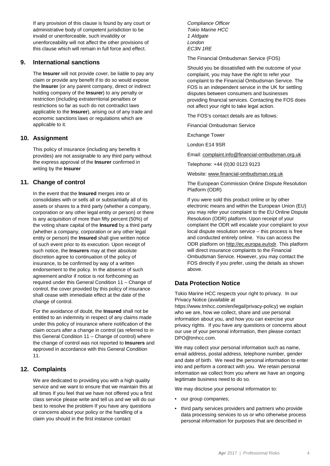If any provision of this clause is found by any court or administrative body of competent jurisdiction to be invalid or unenforceable, such invalidity or unenforceability will not affect the other provisions of this clause which will remain in full force and effect.

#### **9. International sanctions**

The **Insurer** will not provide cover, be liable to pay any claim or provide any benefit if to do so would expose the **Insurer** (or any parent company, direct or indirect holding company of the **Insurer**) to any penalty or restriction (including extraterritorial penalties or restrictions so far as such do not contradict laws applicable to the **Insurer**), arising out of any trade and economic sanctions laws or regulations which are applicable to it.

#### **10. Assignment**

This policy of insurance (including any benefits it provides) are not assignable to any third party without the express approval of the **Insurer** confirmed in writing by the **Insurer**

#### **11. Change of control**

In the event that the **Insured** merges into or consolidates with or sells all or substantially all of its assets or shares to a third party (whether a company, corporation or any other legal entity or person) or there is any acquisition of more than fifty percent (50%) of the voting share capital of the **Insured** by a third party (whether a company, corporation or any other legal entity or person) the **Insured** shall give written notice of such event prior to its execution. Upon receipt of such notice, the **Insurers** may at their absolute discretion agree to continuation of the policy of insurance, to be confirmed by way of a written endorsement to the policy. In the absence of such agreement and/or if notice is not forthcoming as required under this General Condition 11 – Change of control, the cover provided by this policy of insurance shall cease with immediate effect at the date of the change of control.

For the avoidance of doubt, the **Insured** shall not be entitled to an indemnity in respect of any claims made under this policy of insurance where notification of the claim occurs after a change in control (as referred to in this General Condition 11 – Change of control) where the change of control was not reported to **Insurers** and approved in accordance with this General Condition 11.

#### **12. Complaints**

We are dedicated to providing you with a high quality service and we want to ensure that we maintain this at all times If you feel that we have not offered you a first class service please write and tell us and we will do our best to resolve the problem If you have any questions or concerns about your policy or the handling of a claim you should in the first instance contact

*Compliance Officer Tokio Marine HCC 1 Aldgate London EC3N 1RE*

The Financial Ombudsman Service (FOS)

Should you be dissatisfied with the outcome of your complaint, you may have the right to refer your complaint to the Financial Ombudsman Service. The FOS is an independent service in the UK for settling disputes between consumers and businesses providing financial services. Contacting the FOS does not affect your right to take legal action.

The FOS's contact details are as follows:

Financial Ombudsman Service

Exchange Tower

London E14 9SR

Email[: complaint.info@financial-ombudsman.org.uk](mailto:complaint.info@financial-ombudsman.org.uk)

Telephone: +44 (0)30 0123 9123

Website[: www.financial-ombudsman.org.uk](http://www.financial-ombudsman.org.uk/)

The European Commission Online Dispute Resolution Platform (ODR)

If you were sold this product online or by other electronic means and within the European Union (EU) you may refer your complaint to the EU Online Dispute Resolution (ODR) platform. Upon receipt of your complaint the ODR will escalate your complaint to your local dispute resolution service – this process is free and conducted entirely online. You can access the ODR platform on [http://ec.europa.eu/odr.](http://ec.europa.eu/odr) This platform will direct insurance complaints to the Financial Ombudsman Service. However, you may contact the FOS directly if you prefer, using the details as shown above.

#### **Data Protection Notice**

Tokio Marine HCC respects your right to privacy. In our Privacy Notice (available at

https://www.tmhcc.com/en/legal/privacy-policy) we explain who we are, how we collect, share and use personal information about you, and how you can exercise your privacy rights. If you have any questions or concerns about our use of your personal information, then please contact DPO@tmhcc.com.

We may collect your personal information such as name, email address, postal address, telephone number, gender and date of birth. We need the personal information to enter into and perform a contract with you. We retain personal information we collect from you where we have an ongoing legitimate business need to do so.

We may disclose your personal information to:

- our group companies;
- third party services providers and partners who provide data processing services to us or who otherwise process personal information for purposes that are described in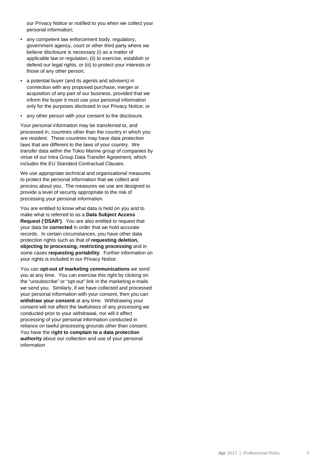our Privacy Notice or notified to you when we collect your personal information;

- any competent law enforcement body, regulatory, government agency, court or other third party where we believe disclosure is necessary (i) as a matter of applicable law or regulation, (ii) to exercise, establish or defend our legal rights, or (iii) to protect your interests or those of any other person;
- a potential buyer (and its agents and advisers) in connection with any proposed purchase, merger or acquisition of any part of our business, provided that we inform the buyer it must use your personal information only for the purposes disclosed in our Privacy Notice; or
- any other person with your consent to the disclosure.

Your personal information may be transferred to, and processed in, countries other than the country in which you are resident. These countries may have data protection laws that are different to the laws of your country. We transfer data within the Tokio Marine group of companies by virtue of our Intra Group Data Transfer Agreement, which includes the EU Standard Contractual Clauses.

We use appropriate technical and organisational measures to protect the personal information that we collect and process about you. The measures we use are designed to provide a level of security appropriate to the risk of processing your personal information.

You are entitled to know what data is held on you and to make what is referred to as a **Data Subject Access Request ('DSAR')**. You are also entitled to request that your data be **corrected** in order that we hold accurate records. In certain circumstances, you have other data protection rights such as that of **requesting deletion, objecting to processing, restricting processing** and in some cases **requesting portability**. Further information on your rights is included in our Privacy Notice.

You can **opt-out of marketing communications** we send you at any time. You can exercise this right by clicking on the "unsubscribe" or "opt-out" link in the marketing e-mails we send you. Similarly, if we have collected and processed your personal information with your consent, then you can **withdraw your consent** at any time. Withdrawing your consent will not affect the lawfulness of any processing we conducted prior to your withdrawal, nor will it affect processing of your personal information conducted in reliance on lawful processing grounds other than consent. You have the **right to complain to a data protection authority** about our collection and use of your personal information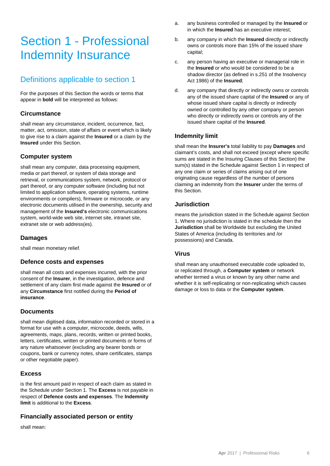## Section 1 - Professional Indemnity Insurance

## Definitions applicable to section 1

For the purposes of this Section the words or terms that appear in **bold** will be interpreted as follows:

#### **Circumstance**

shall mean any circumstance, incident, occurrence, fact, matter, act, omission, state of affairs or event which is likely to give rise to a claim against the **Insured** or a claim by the **Insured** under this Section.

#### **Computer system**

shall mean any computer, data processing equipment, media or part thereof, or system of data storage and retrieval, or communications system, network, protocol or part thereof, or any computer software (including but not limited to application software, operating systems, runtime environments or compilers), firmware or microcode, or any electronic documents utilised in the ownership, security and management of the **Insured's** electronic communications system, world-wide web site, internet site, intranet site, extranet site or web address(es).

#### **Damages**

shall mean monetary relief.

#### **Defence costs and expenses**

shall mean all costs and expenses incurred, with the prior consent of the **Insurer**, in the investigation, defence and settlement of any claim first made against the **Insured** or of any **Circumstance** first notified during the **Period of insurance**.

#### **Documents**

shall mean digitised data, information recorded or stored in a format for use with a computer, microcode, deeds, wills, agreements, maps, plans, records, written or printed books, letters, certificates, written or printed documents or forms of any nature whatsoever (excluding any bearer bonds or coupons, bank or currency notes, share certificates, stamps or other negotiable paper).

#### **Excess**

is the first amount paid in respect of each claim as stated in the Schedule under Section 1. The **Excess** is not payable in respect of **Defence costs and expenses**. The **Indemnity limit** is additional to the **Excess**.

#### **Financially associated person or entity**

shall mean:

- a. any business controlled or managed by the **Insured** or in which the **Insured** has an executive interest;
- b. any company in which the **Insured** directly or indirectly owns or controls more than 15% of the issued share capital;
- c. any person having an executive or managerial role in the **Insured** or who would be considered to be a shadow director (as defined in s.251 of the Insolvency Act 1986) of the **Insured**;
- d. any company that directly or indirectly owns or controls any of the issued share capital of the **Insured** or any of whose issued share capital is directly or indirectly owned or controlled by any other company or person who directly or indirectly owns or controls any of the issued share capital of the **Insured**.

#### **Indemnity limit**

shall mean the **Insurer's** total liability to pay **Damages** and claimant's costs, and shall not exceed (except where specific sums are stated in the Insuring Clauses of this Section) the sum(s) stated in the Schedule against Section 1 in respect of any one claim or series of claims arising out of one originating cause regardless of the number of persons claiming an indemnity from the **Insurer** under the terms of this Section.

#### **Jurisdiction**

means the jurisdiction stated in the Schedule against Section 1. Where no jurisdiction is stated in the schedule then the **Jurisdiction** shall be Worldwide but excluding the United States of America (including its territories and /or possessions) and Canada.

#### **Virus**

shall mean any unauthorised executable code uploaded to, or replicated through, a **Computer system** or network whether termed a virus or known by any other name and whether it is self-replicating or non-replicating which causes damage or loss to data or the **Computer system**.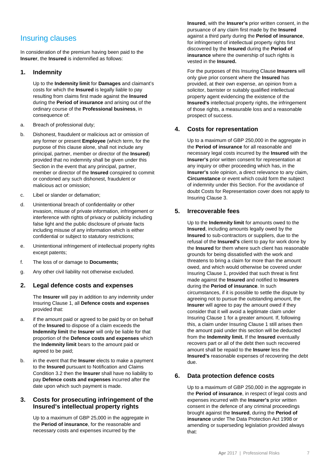## Insuring clauses

In consideration of the premium having been paid to the **Insurer**, the **Insured** is indemnified as follows:

#### **1. Indemnity**

Up to the **Indemnity limit** for **Damages** and claimant's costs for which the **Insured** is legally liable to pay resulting from claims first made against the **Insured** during the **Period of insurance** and arising out of the ordinary course of the **Professional business**, in consequence of:

- a. Breach of professional duty;
- b. Dishonest, fraudulent or malicious act or omission of any former or present **Employee** (which term, for the purpose of this clause alone, shall not include any principal, partner, member or director of the **Insured**) provided that no indemnity shall be given under this Section in the event that any principal, partner, member or director of the **Insured** conspired to commit or condoned any such dishonest, fraudulent or malicious act or omission;
- c. Libel or slander or defamation;
- d. Unintentional breach of confidentiality or other invasion, misuse of private information, infringement or interference with rights of privacy or publicity including false light and the public disclosure of private facts including misuse of any information which is either confidential or subject to statutory restrictions;
- e. Unintentional infringement of intellectual property rights except patents;
- f. The loss of or damage to **Documents;**
- g. Any other civil liability not otherwise excluded.

#### **2. Legal defence costs and expenses**

The **Insurer** will pay in addition to any indemnity under Insuring Clause 1, all **Defence costs and expenses** provided that:

- a. if the amount paid or agreed to be paid by or on behalf of the **Insured** to dispose of a claim exceeds the **Indemnity limit** the **Insurer** will only be liable for that proportion of the **Defence costs and expenses** which the **Indemnity limit** bears to the amount paid or agreed to be paid;
- b. in the event that the **Insurer** elects to make a payment to the **Insured** pursuant to Notification and Claims Condition 3.2 then the **Insurer** shall have no liability to pay **Defence costs and expenses** incurred after the date upon which such payment is made.

#### **3. Costs for prosecuting infringement of the Insured's intellectual property rights**

Up to a maximum of GBP 25,000 in the aggregate in the **Period of insurance**, for the reasonable and necessary costs and expenses incurred by the

**Insured**, with the **Insurer's** prior written consent, in the pursuance of any claim first made by the **Insured** against a third party during the **Period of insurance**, for infringement of intellectual property rights first discovered by the **Insured** during the **Period of insurance** where the ownership of such rights is vested in the **Insured.**

For the purposes of this Insuring Clause **Insurers** will only give prior consent where the **Insured** has provided, at their own expense, an opinion from a solicitor, barrister or suitably qualified intellectual property agent evidencing the existence of the **Insured's** intellectual property rights, the infringement of those rights, a measurable loss and a reasonable prospect of success.

#### **4. Costs for representation**

Up to a maximum of GBP 250,000 in the aggregate in the **Period of insurance** for all reasonable and necessary legal costs incurred by the **Insured** with the **Insurer's** prior written consent for representation at any inquiry or other proceeding which has, in the **Insurer's** sole opinion, a direct relevance to any claim, **Circumstance** or event which could form the subject of indemnity under this Section. For the avoidance of doubt Costs for Representation cover does not apply to Insuring Clause 3.

#### **5. Irrecoverable fees**

Up to the **Indemnity limit** for amounts owed to the **Insured**, including amounts legally owed by the **Insured** to sub-contractors or suppliers, due to the refusal of the **Insured's** client to pay for work done by the **Insured** for them where such client has reasonable grounds for being dissatisfied with the work and threatens to bring a claim for more than the amount owed, and which would otherwise be covered under Insuring Clause 1, provided that such threat is first made against the **Insured** and notified to **Insurers** during the **Period of insurance**. In such circumstances, if it is possible to settle the dispute by agreeing not to pursue the outstanding amount, the **Insurer** will agree to pay the amount owed if they consider that it will avoid a legitimate claim under Insuring Clause 1 for a greater amount. If, following this, a claim under Insuring Clause 1 still arises then the amount paid under this section will be deducted from the **Indemnity limit.** If the **Insured** eventually recovers part or all of the debt then such recovered amount shall be repaid to the **Insurer** less the **Insured's** reasonable expenses of recovering the debt due.

#### **6. Data protection defence costs**

Up to a maximum of GBP 250,000 in the aggregate in the **Period of insurance**, in respect of legal costs and expenses incurred with the **Insurer's** prior written consent in the defence of any criminal proceedings brought against the **Insured**, during the **Period of insurance** under The Data Protection Act 1998 or amending or superseding legislation provided always that: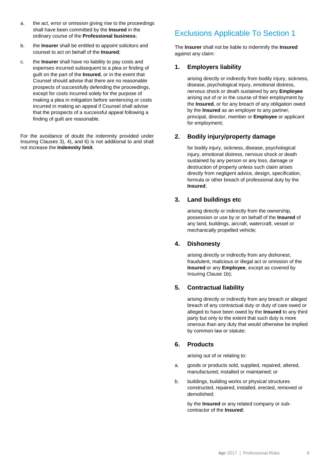- a. the act, error or omission giving rise to the proceedings shall have been committed by the **Insured** in the ordinary course of the **Professional business**;
- b. the **Insurer** shall be entitled to appoint solicitors and counsel to act on behalf of the **Insured**;
- c. the **Insurer** shall have no liability to pay costs and expenses incurred subsequent to a plea or finding of guilt on the part of the **Insured**, or in the event that Counsel should advise that there are no reasonable prospects of successfully defending the proceedings, except for costs incurred solely for the purpose of making a plea in mitigation before sentencing or costs incurred in making an appeal if Counsel shall advise that the prospects of a successful appeal following a finding of guilt are reasonable.

For the avoidance of doubt the indemnity provided under Insuring Clauses 3), 4), and 6) is not additional to and shall not increase the **Indemnity limit**.

## Exclusions Applicable To Section 1

The **Insurer** shall not be liable to indemnify the **Insured**  against any claim:

#### **1. Employers liability**

arising directly or indirectly from bodily injury, sickness, disease, psychological injury, emotional distress, nervous shock or death sustained by any **Employee** arising out of or in the course of their employment by the **Insured**, or for any breach of any obligation owed by the **Insured** as an employer to any partner, principal, director, member or **Employee** or applicant for employment;

#### **2. Bodily injury/property damage**

for bodily injury, sickness, disease, psychological injury, emotional distress, nervous shock or death sustained by any person or any loss, damage or destruction of property unless such claim arises directly from negligent advice, design, specification, formula or other breach of professional duty by the **Insured**;

#### **3. Land buildings etc**

arising directly or indirectly from the ownership, possession or use by or on behalf of the **Insured** of any land, buildings, aircraft, watercraft, vessel or mechanically propelled vehicle;

#### **4. Dishonesty**

arising directly or indirectly from any dishonest, fraudulent, malicious or illegal act or omission of the **Insured** or any **Employee**, except as covered by Insuring Clause 1b);

#### **5. Contractual liability**

arising directly or indirectly from any breach or alleged breach of any contractual duty or duty of care owed or alleged to have been owed by the **Insured** to any third party but only to the extent that such duty is more onerous than any duty that would otherwise be implied by common law or statute;

#### **6. Products**

arising out of or relating to:

- a. goods or products sold, supplied, repaired, altered, manufactured, installed or maintained; or
- b. buildings, building works or physical structures constructed, repaired, installed, erected, removed or demolished;

by the **Insured** or any related company or subcontractor of the **Insured**;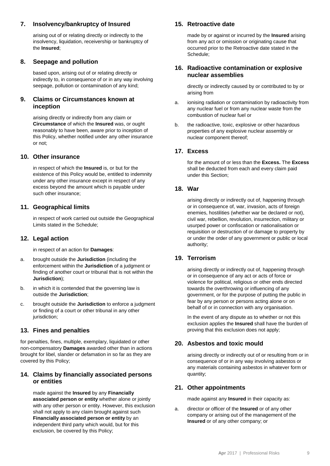#### **7. Insolvency/bankruptcy of Insured**

arising out of or relating directly or indirectly to the insolvency, liquidation, receivership or bankruptcy of the **Insured**;

#### **8. Seepage and pollution**

based upon, arising out of or relating directly or indirectly to, in consequence of or in any way involving seepage, pollution or contamination of any kind;

#### **9. Claims or Circumstances known at inception**

arising directly or indirectly from any claim or **Circumstance** of which the **Insured** was, or ought reasonably to have been, aware prior to inception of this Policy, whether notified under any other insurance or not;

#### **10. Other insurance**

in respect of which the **Insured** is, or but for the existence of this Policy would be, entitled to indemnity under any other insurance except in respect of any excess beyond the amount which is payable under such other insurance;

#### **11. Geographical limits**

in respect of work carried out outside the Geographical Limits stated in the Schedule;

#### **12. Legal action**

in respect of an action for **Damages**:

- a. brought outside the **Jurisdiction** (including the enforcement within the **Jurisdiction** of a judgment or finding of another court or tribunal that is not within the **Jurisdiction**);
- b. in which it is contended that the governing law is outside the **Jurisdiction**;
- c. brought outside the **Jurisdiction** to enforce a judgment or finding of a court or other tribunal in any other jurisdiction;

#### **13. Fines and penalties**

for penalties, fines, multiple, exemplary, liquidated or other non-compensatory **Damages** awarded other than in actions brought for libel, slander or defamation in so far as they are covered by this Policy;

#### **14. Claims by financially associated persons or entities**

made against the **Insured** by any **Financially associated person or entity** whether alone or jointly with any other person or entity. However, this exclusion shall not apply to any claim brought against such **Financially associated person or entity** by an independent third party which would, but for this exclusion, be covered by this Policy;

#### **15. Retroactive date**

made by or against or incurred by the **Insured** arising from any act or omission or originating cause that occurred prior to the Retroactive date stated in the Schedule;

#### **16. Radioactive contamination or explosive nuclear assemblies**

directly or indirectly caused by or contributed to by or arising from

- a. ionising radiation or contamination by radioactivity from any nuclear fuel or from any nuclear waste from the combustion of nuclear fuel or
- b. the radioactive, toxic, explosive or other hazardous properties of any explosive nuclear assembly or nuclear component thereof;

#### **17. Excess**

for the amount of or less than the **Excess.** The **Excess** shall be deducted from each and every claim paid under this Section;

#### **18. War**

arising directly or indirectly out of, happening through or in consequence of, war, invasion, acts of foreign enemies, hostilities (whether war be declared or not), civil war, rebellion, revolution, insurrection, military or usurped power or confiscation or nationalisation or requisition or destruction of or damage to property by or under the order of any government or public or local authority;

#### **19. Terrorism**

arising directly or indirectly out of, happening through or in consequence of any act or acts of force or violence for political, religious or other ends directed towards the overthrowing or influencing of any government, or for the purpose of putting the public in fear by any person or persons acting alone or on behalf of or in connection with any organisation.

In the event of any dispute as to whether or not this exclusion applies the **Insured** shall have the burden of proving that this exclusion does not apply;

#### **20. Asbestos and toxic mould**

arising directly or indirectly out of or resulting from or in consequence of or in any way involving asbestos or any materials containing asbestos in whatever form or quantity;

#### **21. Other appointments**

made against any **Insured** in their capacity as:

a. director or officer of the **Insured** or of any other company or arising out of the management of the **Insured** or of any other company; or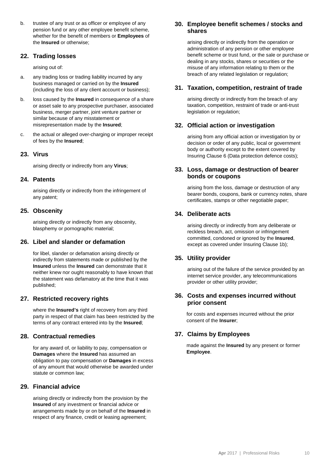b. trustee of any trust or as officer or employee of any pension fund or any other employee benefit scheme, whether for the benefit of members or **Employees** of the **Insured** or otherwise;

#### **22. Trading losses**

arising out of:

- a. any trading loss or trading liability incurred by any business managed or carried on by the **Insured** (including the loss of any client account or business);
- b. loss caused by the **Insured** in consequence of a share or asset sale to any prospective purchaser, associated business, merger partner, joint venture partner or similar because of any misstatement or misrepresentation made by the **Insured**;
- c. the actual or alleged over-charging or improper receipt of fees by the **Insured**;

#### **23. Virus**

arising directly or indirectly from any **Virus**;

#### **24. Patents**

arising directly or indirectly from the infringement of any patent;

#### **25. Obscenity**

arising directly or indirectly from any obscenity, blasphemy or pornographic material;

#### **26. Libel and slander or defamation**

for libel, slander or defamation arising directly or indirectly from statements made or published by the **Insured** unless the **Insured** can demonstrate that it neither knew nor ought reasonably to have known that the statement was defamatory at the time that it was published;

#### **27. Restricted recovery rights**

where the **Insured's** right of recovery from any third party in respect of that claim has been restricted by the terms of any contract entered into by the **Insured**;

#### **28. Contractual remedies**

for any award of, or liability to pay, compensation or **Damages** where the **Insured** has assumed an obligation to pay compensation or **Damages** in excess of any amount that would otherwise be awarded under statute or common law;

#### **29. Financial advice**

arising directly or indirectly from the provision by the **Insured** of any investment or financial advice or arrangements made by or on behalf of the **Insured** in respect of any finance, credit or leasing agreement;

#### **30. Employee benefit schemes / stocks and shares**

arising directly or indirectly from the operation or administration of any pension or other employee benefit scheme or trust fund, or the sale or purchase or dealing in any stocks, shares or securities or the misuse of any information relating to them or the breach of any related legislation or regulation;

#### **31. Taxation, competition, restraint of trade**

arising directly or indirectly from the breach of any taxation, competition, restraint of trade or anti-trust legislation or regulation;

#### **32. Official action or investigation**

arising from any official action or investigation by or decision or order of any public, local or government body or authority except to the extent covered by Insuring Clause 6 (Data protection defence costs);

#### **33. Loss, damage or destruction of bearer bonds or coupons**

arising from the loss, damage or destruction of any bearer bonds, coupons, bank or currency notes, share certificates, stamps or other negotiable paper;

#### **34. Deliberate acts**

arising directly or indirectly from any deliberate or reckless breach, act, omission or infringement committed, condoned or ignored by the **Insured**, except as covered under Insuring Clause 1b);

#### **35. Utility provider**

arising out of the failure of the service provided by an internet service provider, any telecommunications provider or other utility provider;

#### **36. Costs and expenses incurred without prior consent**

for costs and expenses incurred without the prior consent of the **Insurer**;

#### **37. Claims by Employees**

made against the **Insured** by any present or former **Employee**.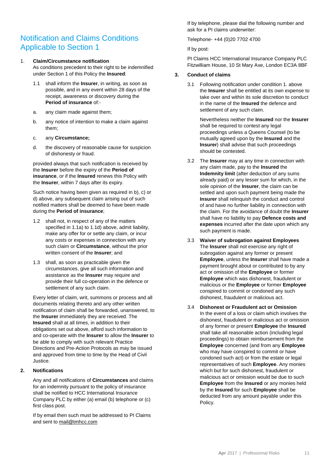### Notification and Claims Conditions Applicable to Section 1

#### 1. **Claim/Circumstance notification**

As conditions precedent to their right to be indemnified under Section 1 of this Policy the **Insured**:

- 1.1 shall inform the **Insurer**, in writing, as soon as possible, and in any event within 28 days of the receipt, awareness or discovery during the **Period of insurance** of:-
- a. any claim made against them;
- b. any notice of intention to make a claim against them;
- c. any **Circumstance;**
- d. the discovery of reasonable cause for suspicion of dishonesty or fraud.

provided always that such notification is received by the **Insurer** before the expiry of the **Period of insurance**, or if the **Insured** renews this Policy with the **Insurer**, within 7 days after its expiry.

Such notice having been given as required in b), c) or d) above, any subsequent claim arising out of such notified matters shall be deemed to have been made during the **Period of insurance**;

- 1.2 shall not, in respect of any of the matters specified in 1.1a) to 1.1d) above, admit liability, make any offer for or settle any claim, or incur any costs or expenses in connection with any such claim or **Circumstance**, without the prior written consent of the **Insurer**; and
- 1.3 shall, as soon as practicable given the circumstances, give all such information and assistance as the **Insurer** may require and provide their full co-operation in the defence or settlement of any such claim.

Every letter of claim, writ, summons or process and all documents relating thereto and any other written notification of claim shall be forwarded, unanswered, to the **Insurer** immediately they are received. The **Insured** shall at all times, in addition to their obligations set out above, afford such information to and co-operate with the **Insurer** to allow the **Insurer** to be able to comply with such relevant Practice Directions and Pre-Action Protocols as may be issued and approved from time to time by the Head of Civil Justice.

#### **2. Notifications**

Any and all notifications of **Circumstances** and claims for an indemnity pursuant to the policy of insurance shall be notified to HCC International Insurance Company PLC by either (a) email (b) telephone or (c) first class post.

If by email then such must be addressed to PI Claims and sent t[o mail@tmhcc.com](mailto:mail@tmhcc.com)

If by telephone, please dial the following number and ask for a PI claims underwriter:

Telephone- +44 (0)20 7702 4700

If by post:

PI Claims HCC International Insurance Company PLC Fitzwilliam House, 10 St Mary Axe, London EC3A 8BF

#### **3. Conduct of claims**

3.1 Following notification under condition 1. above the **Insurer** shall be entitled at its own expense to take over and within its sole discretion to conduct in the name of the **Insured** the defence and settlement of any such claim.

> Nevertheless neither the **Insured** nor the **Insurer** shall be required to contest any legal proceedings unless a Queens Counsel (to be mutually agreed upon by the **Insured** and the **Insurer**) shall advise that such proceedings should be contested.

- 3.2 The **Insurer** may at any time in connection with any claim made, pay to the **Insured** the **Indemnity limit** (after deduction of any sums already paid) or any lesser sum for which, in the sole opinion of the **Insurer**, the claim can be settled and upon such payment being made the **Insurer** shall relinquish the conduct and control of and have no further liability in connection with the claim. For the avoidance of doubt the **Insurer** shall have no liability to pay **Defence costs and expenses** incurred after the date upon which any such payment is made.
- 3.3 **Waiver of subrogation against Employees** The **Insurer** shall not exercise any right of subrogation against any former or present **Employee**, unless the **Insurer** shall have made a payment brought about or contributed to by any act or omission of the **Employee** or former **Employee** which was dishonest, fraudulent or malicious or the **Employee** or former **Employee** conspired to commit or condoned any such dishonest, fraudulent or malicious act.
- 3.4 **Dishonest or Fraudulent act or Omission** In the event of a loss or claim which involves the dishonest, fraudulent or malicious act or omission of any former or present **Employee** the **Insured** shall take all reasonable action (including legal proceedings) to obtain reimbursement from the **Employee** concerned (and from any **Employee** who may have conspired to commit or have condoned such act) or from the estate or legal representatives of such **Employee**. Any monies which but for such dishonest, fraudulent or malicious act or omission would be due to such **Employee** from the **Insured** or any monies held by the **Insured** for such **Employee** shall be deducted from any amount payable under this Policy.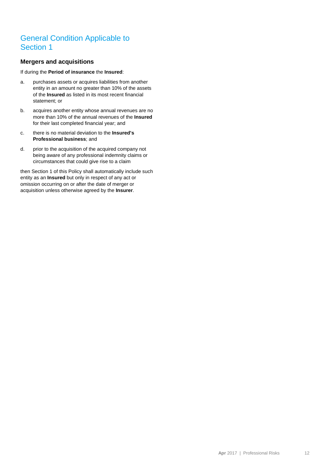### General Condition Applicable to Section 1

#### **Mergers and acquisitions**

If during the **Period of insurance** the **Insured**:

- a. purchases assets or acquires liabilities from another entity in an amount no greater than 10% of the assets of the **Insured** as listed in its most recent financial statement; or
- b. acquires another entity whose annual revenues are no more than 10% of the annual revenues of the **Insured** for their last completed financial year; and
- c. there is no material deviation to the **Insured's Professional business**; and
- d. prior to the acquisition of the acquired company not being aware of any professional indemnity claims or circumstances that could give rise to a claim

then Section 1 of this Policy shall automatically include such entity as an **Insured** but only in respect of any act or omission occurring on or after the date of merger or acquisition unless otherwise agreed by the **Insurer**.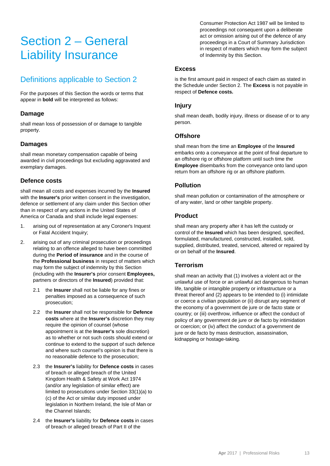## Section 2 – General Liability Insurance

## Definitions applicable to Section 2

For the purposes of this Section the words or terms that appear in **bold** will be interpreted as follows:

#### **Damage**

shall mean loss of possession of or damage to tangible property.

#### **Damages**

shall mean monetary compensation capable of being awarded in civil proceedings but excluding aggravated and exemplary damages.

#### **Defence costs**

shall mean all costs and expenses incurred by the **Insured** with the **Insurer's** prior written consent in the investigation, defence or settlement of any claim under this Section other than in respect of any actions in the United States of America or Canada and shall include legal expenses:

- 1. arising out of representation at any Coroner's Inquest or Fatal Accident Inquiry;
- 2. arising out of any criminal prosecution or proceedings relating to an offence alleged to have been committed during the **Period of insurance** and in the course of the **Professional business** in respect of matters which may form the subject of indemnity by this Section (including with the **Insurer's** prior consent **Employees,** partners or directors of the **Insured**) provided that:
	- 2.1 the **Insurer** shall not be liable for any fines or penalties imposed as a consequence of such prosecution;
	- 2.2 the **Insurer** shall not be responsible for **Defence costs** where at the **Insurer's** discretion they may require the opinion of counsel (whose appointment is at the **Insurer's** sole discretion) as to whether or not such costs should extend or continue to extend to the support of such defence and where such counsel's opinion is that there is no reasonable defence to the prosecution;
	- 2.3 the **Insurer's** liability for **Defence costs** in cases of breach or alleged breach of the United Kingdom Health & Safety at Work Act 1974 (and/or any legislation of similar effect) are limited to prosecutions under Section 33(1)(a) to (c) of the Act or similar duty imposed under legislation in Northern Ireland, the Isle of Man or the Channel Islands;
	- 2.4 the **Insurer's** liability for **Defence costs** in cases of breach or alleged breach of Part II of the

Consumer Protection Act 1987 will be limited to proceedings not consequent upon a deliberate act or omission arising out of the defence of any proceedings in a Court of Summary Jurisdiction in respect of matters which may form the subject of Indemnity by this Section.

#### **Excess**

is the first amount paid in respect of each claim as stated in the Schedule under Section 2. The **Excess** is not payable in respect of **Defence costs.**

#### **Injury**

shall mean death, bodily injury, illness or disease of or to any person.

#### **Offshore**

shall mean from the time an **Employee** of the **Insured** embarks onto a conveyance at the point of final departure to an offshore rig or offshore platform until such time the **Employee** disembarks from the conveyance onto land upon return from an offshore rig or an offshore platform.

#### **Pollution**

shall mean pollution or contamination of the atmosphere or of any water, land or other tangible property.

#### **Product**

shall mean any property after it has left the custody or control of the **Insured** which has been designed, specified, formulated, manufactured, constructed, installed, sold, supplied, distributed, treated, serviced, altered or repaired by or on behalf of the **Insured**.

#### **Terrorism**

shall mean an activity that (1) involves a violent act or the unlawful use of force or an unlawful act dangerous to human life, tangible or intangible property or infrastructure or a threat thereof and (2) appears to be intended to (i) intimidate or coerce a civilian population or (ii) disrupt any segment of the economy of a government de jure or de facto state or country; or (iii) overthrow, influence or affect the conduct of policy of any government de jure or de facto by intimidation or coercion; or (iv) affect the conduct of a government de jure or de facto by mass destruction, assassination, kidnapping or hostage-taking.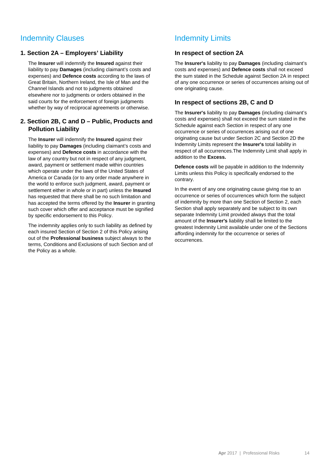### Indemnity Clauses

#### **1. Section 2A – Employers' Liability**

The **Insurer** will indemnify the **Insured** against their liability to pay **Damages** (including claimant's costs and expenses) and **Defence costs** according to the laws of Great Britain, Northern Ireland, the Isle of Man and the Channel Islands and not to judgments obtained elsewhere nor to judgments or orders obtained in the said courts for the enforcement of foreign judgments whether by way of reciprocal agreements or otherwise.

#### **2. Section 2B, C and D – Public, Products and Pollution Liability**

The **Insurer** will indemnify the **Insured** against their liability to pay **Damages** (including claimant's costs and expenses) and **Defence costs** in accordance with the law of any country but not in respect of any judgment, award, payment or settlement made within countries which operate under the laws of the United States of America or Canada (or to any order made anywhere in the world to enforce such judgment, award, payment or settlement either in whole or in part) unless the **Insured** has requested that there shall be no such limitation and has accepted the terms offered by the **Insurer** in granting such cover which offer and acceptance must be signified by specific endorsement to this Policy.

The indemnity applies only to such liability as defined by each insured Section of Section 2 of this Policy arising out of the **Professional business** subject always to the terms, Conditions and Exclusions of such Section and of the Policy as a whole.

## Indemnity Limits

#### **In respect of section 2A**

The **Insurer's** liability to pay **Damages** (including claimant's costs and expenses) and **Defence costs** shall not exceed the sum stated in the Schedule against Section 2A in respect of any one occurrence or series of occurrences arising out of one originating cause.

#### **In respect of sections 2B, C and D**

The **Insurer's** liability to pay **Damages** (including claimant's costs and expenses) shall not exceed the sum stated in the Schedule against each Section in respect of any one occurrence or series of occurrences arising out of one originating cause but under Section 2C and Section 2D the Indemnity Limits represent the **Insurer's** total liability in respect of all occurrences.The Indemnity Limit shall apply in addition to the **Excess.**

**Defence costs** will be payable in addition to the Indemnity Limits unless this Policy is specifically endorsed to the contrary.

In the event of any one originating cause giving rise to an occurrence or series of occurrences which form the subject of indemnity by more than one Section of Section 2, each Section shall apply separately and be subject to its own separate Indemnity Limit provided always that the total amount of the **Insurer's** liability shall be limited to the greatest Indemnity Limit available under one of the Sections affording indemnity for the occurrence or series of occurrences.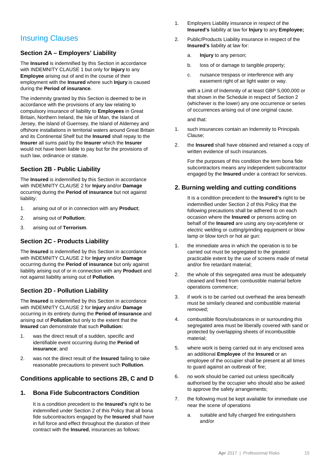## Insuring Clauses

#### **Section 2A – Employers' Liability**

The **Insured** is indemnified by this Section in accordance with INDEMNITY CLAUSE 1 but only for **Injury** to any **Employee** arising out of and in the course of their employment with the **Insured** where such **Injury** is caused during the **Period of insurance**.

The indemnity granted by this Section is deemed to be in accordance with the provisions of any law relating to compulsory insurance of liability to **Employees** in Great Britain, Northern Ireland, the Isle of Man, the Island of Jersey, the Island of Guernsey, the Island of Alderney and offshore installations in territorial waters around Great Britain and its Continental Shelf but the **Insured** shall repay to the **Insurer** all sums paid by the **Insurer** which the **Insurer** would not have been liable to pay but for the provisions of such law, ordinance or statute.

#### **Section 2B - Public Liability**

The **Insured** is indemnified by this Section in accordance with INDEMNITY CLAUSE 2 for **Injury** and/or **Damage** occurring during the **Period of insurance** but not against liability:

- 1. arising out of or in connection with any **Product**;
- 2. arising out of **Pollution**;
- 3. arising out of **Terrorism**.

#### **Section 2C - Products Liability**

The **Insured** is indemnified by this Section in accordance with INDEMNITY CLAUSE 2 for **Injury** and/or **Damage** occurring during the **Period of insurance** but only against liability arising out of or in connection with any **Product** and not against liability arising out of **Pollution**.

#### **Section 2D - Pollution Liability**

The **Insured** is indemnified by this Section in accordance with INDEMNITY CLAUSE 2 for **Injury** and/or **Damage** occurring in its entirety during the **Period of insurance** and arising out of **Pollution** but only to the extent that the **Insured** can demonstrate that such **Pollution:**

- 1. was the direct result of a sudden, specific and identifiable event occurring during the **Period of insurance**; and
- 2. was not the direct result of the **Insured** failing to take reasonable precautions to prevent such **Pollution**.

#### **Conditions applicable to sections 2B, C and D**

#### **1. Bona Fide Subcontractors Condition**

It is a condition precedent to the **Insured's** right to be indemnified under Section 2 of this Policy that all bona fide subcontractors engaged by the **Insured** shall have in full force and effect throughout the duration of their contract with the **Insured**, insurances as follows:

- 1. Employers Liability insurance in respect of the **Insured's** liability at law for **Injury** to any **Employee;**
- 2. Public/Products Liability insurance in respect of the **Insured's** liability at law for:
	- a. **Injury** to any person;
	- b. loss of or damage to tangible property;
	- c. nuisance trespass or interference with any easement right of air light water or way.

with a Limit of Indemnity of at least GBP 5,000,000 or that shown in the Schedule in respect of Section 2 (whichever is the lower) any one occurrence or series of occurrences arising out of one original cause.

and that:

- 1. such insurances contain an Indemnity to Principals Clause;
- 2. the **Insured** shall have obtained and retained a copy of written evidence of such insurances.

For the purposes of this condition the term bona fide subcontractors means any independent subcontractor engaged by the **Insured** under a contract for services.

#### **2. Burning welding and cutting conditions**

It is a condition precedent to the **Insured's** right to be indemnified under Section 2 of this Policy that the following precautions shall be adhered to on each occasion where the **Insured** or persons acting on behalf of the **Insured** are using any oxy-acetylene or electric welding or cutting/grinding equipment or blow lamp or blow torch or hot air gun:

- 1. the immediate area in which the operation is to be carried out must be segregated to the greatest practicable extent by the use of screens made of metal and/or fire retardant material;
- 2. the whole of this segregated area must be adequately cleaned and freed from combustible material before operations commence;
- 3. if work is to be carried out overhead the area beneath must be similarly cleaned and combustible material removed;
- 4. combustible floors/substances in or surrounding this segregated area must be liberally covered with sand or protected by overlapping sheets of incombustible material;
- 5. where work is being carried out in any enclosed area an additional **Employee** of the **Insured** or an employee of the occupier shall be present at all times to guard against an outbreak of fire;
- 6. no work should be carried out unless specifically authorised by the occupier who should also be asked to approve the safety arrangements;
- 7. the following must be kept available for immediate use near the scene of operations
	- a. suitable and fully charged fire extinguishers and/or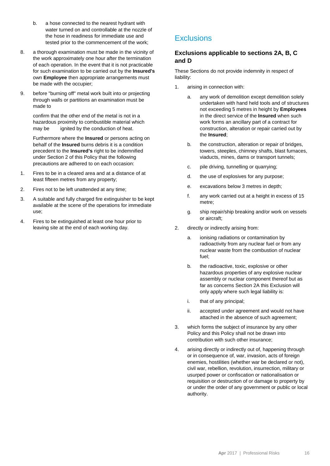- b. a hose connected to the nearest hydrant with water turned on and controllable at the nozzle of the hose in readiness for immediate use and tested prior to the commencement of the work;
- 8. a thorough examination must be made in the vicinity of the work approximately one hour after the termination of each operation. In the event that it is not practicable for such examination to be carried out by the **Insured's** own **Employee** then appropriate arrangements must be made with the occupier;
- 9. before "burning off" metal work built into or projecting through walls or partitions an examination must be made to

confirm that the other end of the metal is not in a hazardous proximity to combustible material which may be ignited by the conduction of heat.

Furthermore where the **Insured** or persons acting on behalf of the **Insured** burns debris it is a condition precedent to the **Insured's** right to be indemnified under Section 2 of this Policy that the following precautions are adhered to on each occasion:

- 1. Fires to be in a cleared area and at a distance of at least fifteen metres from any property;
- 2. Fires not to be left unattended at any time;
- 3. A suitable and fully charged fire extinguisher to be kept available at the scene of the operations for immediate use;
- 4. Fires to be extinguished at least one hour prior to leaving site at the end of each working day.

## **Exclusions**

#### **Exclusions applicable to sections 2A, B, C and D**

These Sections do not provide indemnity in respect of liability:

- 1. arising in connection with:
	- a. any work of demolition except demolition solely undertaken with hand held tools and of structures not exceeding 5 metres in height by **Employees** in the direct service of the **Insured** when such work forms an ancillary part of a contract for construction, alteration or repair carried out by the **Insured**;
	- b. the construction, alteration or repair of bridges, towers, steeples, chimney shafts, blast furnaces, viaducts, mines, dams or transport tunnels;
	- c. pile driving, tunnelling or quarrying;
	- d. the use of explosives for any purpose;
	- e. excavations below 3 metres in depth;
	- f. any work carried out at a height in excess of 15 metre;
	- g. ship repair/ship breaking and/or work on vessels or aircraft;
- 2. directly or indirectly arising from:
	- a. ionising radiations or contamination by radioactivity from any nuclear fuel or from any nuclear waste from the combustion of nuclear fuel;
	- b. the radioactive, toxic, explosive or other hazardous properties of any explosive nuclear assembly or nuclear component thereof but as far as concerns Section 2A this Exclusion will only apply where such legal liability is:
	- i. that of any principal;
	- ii. accepted under agreement and would not have attached in the absence of such agreement;
- 3. which forms the subject of insurance by any other Policy and this Policy shall not be drawn into contribution with such other insurance;
- 4. arising directly or indirectly out of, happening through or in consequence of, war, invasion, acts of foreign enemies, hostilities (whether war be declared or not), civil war, rebellion, revolution, insurrection, military or usurped power or confiscation or nationalisation or requisition or destruction of or damage to property by or under the order of any government or public or local authority.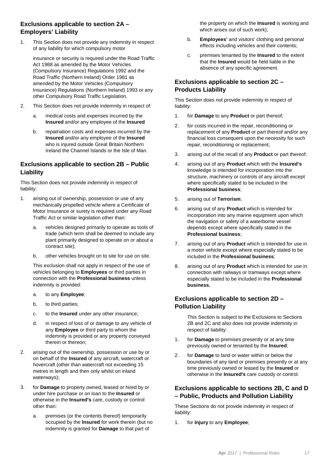#### **Exclusions applicable to section 2A – Employers' Liability**

1. This Section does not provide any indemnity in respect of any liability for which compulsory motor

insurance or security is required under the Road Traffic Act 1988 as amended by the Motor Vehicles (Compulsory Insurance) Regulations 1992 and the Road Traffic (Northern Ireland) Order 1981 as amended by the Motor Vehicles (Compulsory Insurance) Regulations (Northern Ireland) 1993 or any other Compulsory Road Traffic Legislation.

- 2. This Section does not provide indemnity in respect of:
	- a. medical costs and expenses incurred by the **Insured** and/or any employee of the **Insured**
	- b. repatriation costs and expenses incurred by the **Insured** and/or any employee of the **Insured** who is injured outside Great Britain Northern Ireland the Channel Islands or the Isle of Man.

#### **Exclusions applicable to section 2B – Public Liability**

This Section does not provide indemnity in respect of liability:

- 1. arising out of ownership, possession or use of any mechanically propelled vehicle where a Certificate of Motor Insurance or surety is required under any Road Traffic Act or similar legislation other than:
	- a. vehicles designed primarily to operate as tools of trade (which term shall be deemed to include any plant primarily designed to operate on or about a contract site);
	- b. other vehicles brought on to site for use on site.

This exclusion shall not apply in respect of the use of vehicles belonging to **Employees** or third parties in connection with the **Professional business** unless indemnity is provided:

- a. to any **Employee**;
- b. to third parties;
- c. to the **Insured** under any other insurance;
- d. in respect of loss of or damage to any vehicle of any **Employee** or third party to whom the indemnity is provided or any property conveyed therein or thereon;
- 2. arising out of the ownership, possession or use by or on behalf of the **Insured** of any aircraft, watercraft or hovercraft (other than watercraft not exceeding 15 metres in length and then only whilst on inland waterways);
- 3. for **Damage** to property owned, leased or hired by or under hire purchase or on loan to the **Insured** or otherwise in the **Insured's** care, custody or control other than:
	- a. premises (or the contents thereof) temporarily occupied by the **Insured** for work therein (but no indemnity is granted for **Damage** to that part of

the property on which the **Insured** is working and which arises out of such work);

- b. **Employees'** and visitors' clothing and personal effects including vehicles and their contents;
- c. premises tenanted by the **Insured** to the extent that the **Insured** would be held liable in the absence of any specific agreement.

#### **Exclusions applicable to section 2C – Products Liability**

This Section does not provide indemnity in respect of liability:

- 1. for **Damage** to any **Product** or part thereof;
- 2. for costs incurred in the repair, reconditioning or replacement of any **Product** or part thereof and/or any financial loss consequent upon the necessity for such repair, reconditioning or replacement;
- 3. arising out of the recall of any **Product** or part thereof;
- 4. arising out of any **Product** which with the **Insured's** knowledge is intended for incorporation into the structure, machinery or controls of any aircraft except where specifically stated to be included in the **Professional business**;
- 5. arising out of **Terrorism**;
- 6. arising out of any **Product** which is intended for incorporation into any marine equipment upon which the navigation or safety of a waterborne vessel depends except where specifically stated in the **Professional business**;
- 7. arising out of any **Product** which is intended for use in a motor vehicle except where especially stated to be included in the **Professional business**;
- 8. arising out of any **Product** which is intended for use in connection with railways or tramways except where especially stated to be included in the **Professional business.**

#### **Exclusions applicable to section 2D – Pollution Liability**

This Section is subject to the Exclusions to Sections 2B and 2C and also does not provide indemnity in respect of liability:

- 1. for **Damage** to premises presently or at any time previously owned or tenanted by the **Insured**;
- 2. for **Damage** to land or water within or below the boundaries of any land or premises presently or at any time previously owned or leased by the **Insured** or otherwise in the **Insured's** care custody or control.

#### **Exclusions applicable to sections 2B, C and D – Public, Products and Pollution Liability**

These Sections do not provide indemnity in respect of liability:

1. for **Injury** to any **Employee**;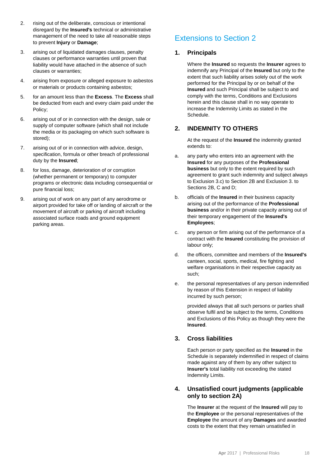- 2. rising out of the deliberate, conscious or intentional disregard by the **Insured's** technical or administrative management of the need to take all reasonable steps to prevent **Injury** or **Damage**;
- 3. arising out of liquidated damages clauses, penalty clauses or performance warranties until proven that liability would have attached in the absence of such clauses or warranties;
- 4. arising from exposure or alleged exposure to asbestos or materials or products containing asbestos;
- 5. for an amount less than the **Excess**. The **Excess** shall be deducted from each and every claim paid under the Policy;
- 6. arising out of or in connection with the design, sale or supply of computer software (which shall not include the media or its packaging on which such software is stored);
- 7. arising out of or in connection with advice, design, specification, formula or other breach of professional duty by the **Insured**;
- 8. for loss, damage, deterioration of or corruption (whether permanent or temporary) to computer programs or electronic data including consequential or pure financial loss;
- 9. arising out of work on any part of any aerodrome or airport provided for take off or landing of aircraft or the movement of aircraft or parking of aircraft including associated surface roads and ground equipment parking areas.

## Extensions to Section 2

#### **1. Principals**

Where the **Insured** so requests the **Insurer** agrees to indemnify any Principal of the **Insured** but only to the extent that such liability arises solely out of the work performed for the Principal by or on behalf of the **Insured** and such Principal shall be subject to and comply with the terms, Conditions and Exclusions herein and this clause shall in no way operate to increase the Indemnity Limits as stated in the Schedule.

#### **2. INDEMNITY TO OTHERS**

At the request of the **Insured** the indemnity granted extends to:

- a. any party who enters into an agreement with the **Insured** for any purposes of the **Professional business** but only to the extent required by such agreement to grant such indemnity and subject always to Exclusion 3.c) to Section 2B and Exclusion 3. to Sections 2B, C and D;
- b. officials of the **Insured** in their business capacity arising out of the performance of the **Professional business** and/or in their private capacity arising out of their temporary engagement of the **Insured's Employees**;
- c. any person or firm arising out of the performance of a contract with the **Insured** constituting the provision of labour only;
- d. the officers, committee and members of the **Insured's** canteen, social, sports, medical, fire fighting and welfare organisations in their respective capacity as such;
- e. the personal representatives of any person indemnified by reason of this Extension in respect of liability incurred by such person;

provided always that all such persons or parties shall observe fulfil and be subject to the terms, Conditions and Exclusions of this Policy as though they were the **Insured**.

#### **3. Cross liabilities**

Each person or party specified as the **Insured** in the Schedule is separately indemnified in respect of claims made against any of them by any other subject to **Insurer's** total liability not exceeding the stated Indemnity Limits.

#### **4. Unsatisfied court judgments (applicable only to section 2A)**

The **Insurer** at the request of the **Insured** will pay to the **Employee** or the personal representatives of the **Employee** the amount of any **Damages** and awarded costs to the extent that they remain unsatisfied in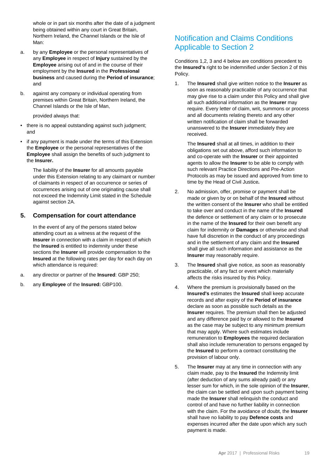whole or in part six months after the date of a judgment being obtained within any court in Great Britain, Northern Ireland, the Channel Islands or the Isle of M<sub>an</sub>.

- a. by any **Employee** or the personal representatives of any **Employee** in respect of **Injury** sustained by the **Employee** arising out of and in the course of their employment by the **Insured** in the **Professional business** and caused during the **Period of insurance**; and
- b. against any company or individual operating from premises within Great Britain, Northern Ireland, the Channel Islands or the Isle of Man,

provided always that:

- there is no appeal outstanding against such judgment; and
- if any payment is made under the terms of this Extension the **Employee** or the personal representatives of the **Employee** shall assign the benefits of such judgment to the **Insurer.**

The liability of the **Insurer** for all amounts payable under this Extension relating to any claimant or number of claimants in respect of an occurrence or series of occurrences arising out of one originating cause shall not exceed the Indemnity Limit stated in the Schedule against section 2A.

#### **5. Compensation for court attendance**

In the event of any of the persons stated below attending court as a witness at the request of the **Insurer** in connection with a claim in respect of which the **Insured** is entitled to indemnity under these sections the **Insurer** will provide compensation to the **Insured** at the following rates per day for each day on which attendance is required:

- a. any director or partner of the **Insured**: GBP 250;
- b. any **Employee** of the **Insured:** GBP100.

## Notification and Claims Conditions Applicable to Section 2

Conditions 1,2, 3 and 4 below are conditions precedent to the **Insured's** right to be indemnified under Section 2 of this Policy.

1. The **Insured** shall give written notice to the **Insurer** as soon as reasonably practicable of any occurrence that may give rise to a claim under this Policy and shall give all such additional information as the **Insurer** may require. Every letter of claim, writ, summons or process and all documents relating thereto and any other written notification of claim shall be forwarded unanswered to the **Insurer** immediately they are received.

The **Insured** shall at all times, in addition to their obligations set out above, afford such information to and co-operate with the **Insurer** or their appointed agents to allow the **Insurer** to be able to comply with such relevant Practice Directions and Pre-Action Protocols as may be issued and approved from time to time by the Head of Civil Justice*.*

- 2. No admission, offer, promise or payment shall be made or given by or on behalf of the **Insured** without the written consent of the **Insurer** who shall be entitled to take over and conduct in the name of the **Insured** the defence or settlement of any claim or to prosecute in the name of the **Insured** for their own benefit any claim for indemnity or **Damages** or otherwise and shall have full discretion in the conduct of any proceedings and in the settlement of any claim and the **Insured** shall give all such information and assistance as the **Insurer** may reasonably require.
- 3. The **Insured** shall give notice, as soon as reasonably practicable, of any fact or event which materially affects the risks insured by this Policy.
- 4. Where the premium is provisionally based on the **Insured's** estimates the **Insured** shall keep accurate records and after expiry of the **Period of insurance** declare as soon as possible such details as the **Insurer** requires. The premium shall then be adjusted and any difference paid by or allowed to the **Insured** as the case may be subject to any minimum premium that may apply. Where such estimates include remuneration to **Employees** the required declaration shall also include remuneration to persons engaged by the **Insured** to perform a contract constituting the provision of labour only.
- 5. The **Insurer** may at any time in connection with any claim made, pay to the **Insured** the Indemnity limit (after deduction of any sums already paid) or any lesser sum for which, in the sole opinion of the **Insurer**, the claim can be settled and upon such payment being made the **Insurer** shall relinquish the conduct and control of and have no further liability in connection with the claim. For the avoidance of doubt, the **Insurer** shall have no liability to pay **Defence costs** and expenses incurred after the date upon which any such payment is made.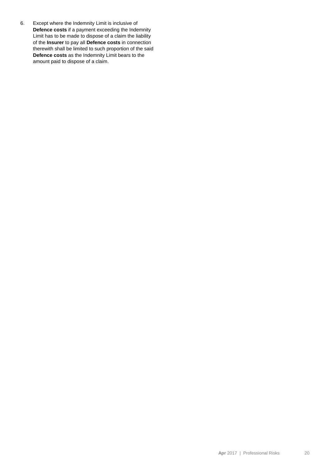6. Except where the Indemnity Limit is inclusive of **Defence costs** if a payment exceeding the Indemnity Limit has to be made to dispose of a claim the liability of the **Insurer** to pay all **Defence costs** in connection therewith shall be limited to such proportion of the said **Defence costs** as the Indemnity Limit bears to the amount paid to dispose of a claim.